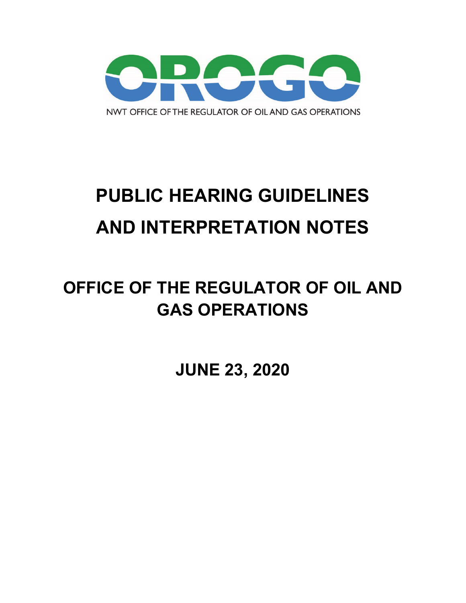

# **PUBLIC HEARING GUIDELINES AND INTERPRETATION NOTES**

## **OFFICE OF THE REGULATOR OF OIL AND GAS OPERATIONS**

**JUNE 23, 2020**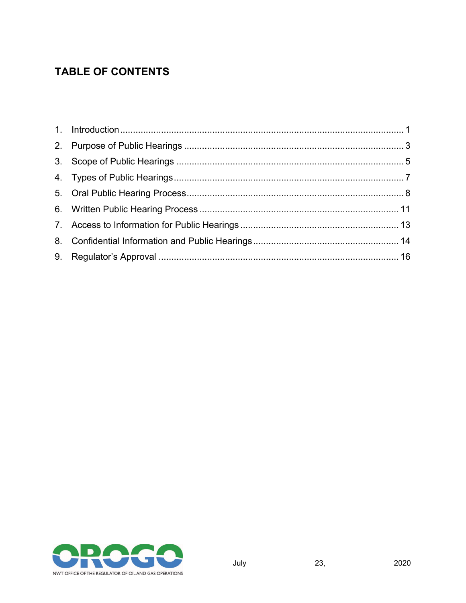#### **TABLE OF CONTENTS**

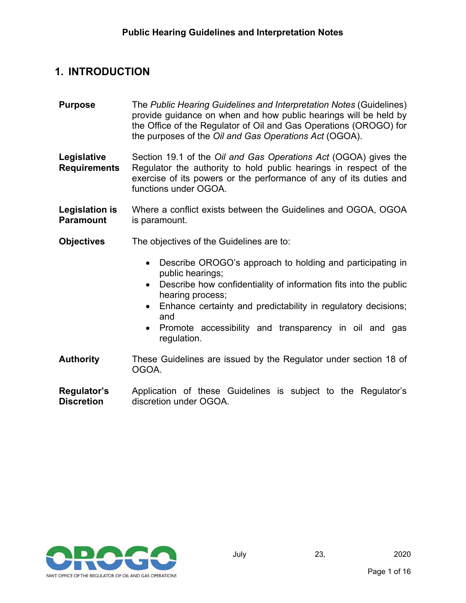#### <span id="page-2-0"></span>**1. INTRODUCTION**

**Purpose** The *Public Hearing Guidelines and Interpretation Notes* (Guidelines) provide guidance on when and how public hearings will be held by the Office of the Regulator of Oil and Gas Operations (OROGO) for the purposes of the *Oil and Gas Operations Act* (OGOA).

**Legislative Requirements** Section 19.1 of the *Oil and Gas Operations Act* (OGOA) gives the Regulator the authority to hold public hearings in respect of the exercise of its powers or the performance of any of its duties and functions under OGOA.

- **Legislation is Paramount** Where a conflict exists between the Guidelines and OGOA, OGOA is paramount.
- **Objectives** The objectives of the Guidelines are to:
	- Describe OROGO's approach to holding and participating in public hearings;
	- Describe how confidentiality of information fits into the public hearing process;
	- Enhance certainty and predictability in regulatory decisions; and
	- Promote accessibility and transparency in oil and gas regulation.
- **Authority** These Guidelines are issued by the Regulator under section 18 of OGOA.
- **Regulator's Discretion** Application of these Guidelines is subject to the Regulator's discretion under OGOA.

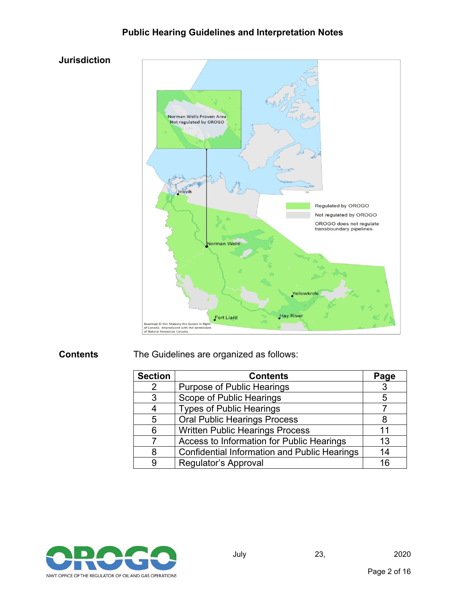



#### **Contents** The Guidelines are organized as follows:

| <b>Section</b> | <b>Contents</b>                                     | Page |
|----------------|-----------------------------------------------------|------|
| 2              | <b>Purpose of Public Hearings</b>                   | 3    |
| -3             | Scope of Public Hearings                            | 5    |
| 4              | <b>Types of Public Hearings</b>                     |      |
| 5              | <b>Oral Public Hearings Process</b>                 | 8    |
| 6              | <b>Written Public Hearings Process</b>              | 11   |
|                | Access to Information for Public Hearings           | 13   |
| 8              | <b>Confidential Information and Public Hearings</b> | 14   |
| 9              | Regulator's Approval                                | 16   |

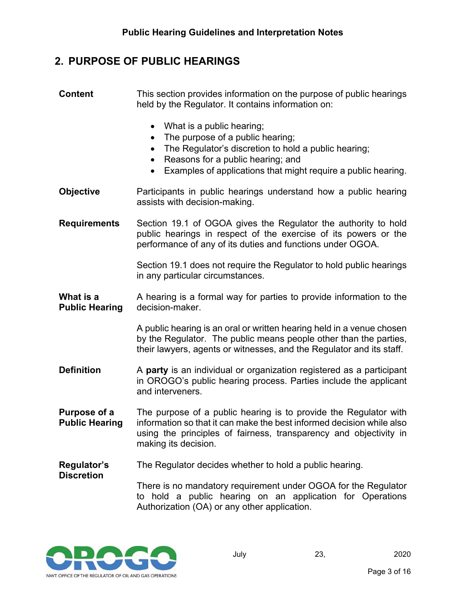#### <span id="page-4-0"></span>**2. PURPOSE OF PUBLIC HEARINGS**

| <b>Content</b>                        | This section provides information on the purpose of public hearings<br>held by the Regulator. It contains information on:                                                                                                                                                                    |
|---------------------------------------|----------------------------------------------------------------------------------------------------------------------------------------------------------------------------------------------------------------------------------------------------------------------------------------------|
|                                       | What is a public hearing;<br>$\bullet$<br>The purpose of a public hearing;<br>$\bullet$<br>The Regulator's discretion to hold a public hearing;<br>$\bullet$<br>Reasons for a public hearing; and<br>$\bullet$<br>Examples of applications that might require a public hearing.<br>$\bullet$ |
| <b>Objective</b>                      | Participants in public hearings understand how a public hearing<br>assists with decision-making.                                                                                                                                                                                             |
| <b>Requirements</b>                   | Section 19.1 of OGOA gives the Regulator the authority to hold<br>public hearings in respect of the exercise of its powers or the<br>performance of any of its duties and functions under OGOA.                                                                                              |
|                                       | Section 19.1 does not require the Regulator to hold public hearings<br>in any particular circumstances.                                                                                                                                                                                      |
| What is a<br><b>Public Hearing</b>    | A hearing is a formal way for parties to provide information to the<br>decision-maker.                                                                                                                                                                                                       |
|                                       | A public hearing is an oral or written hearing held in a venue chosen<br>by the Regulator. The public means people other than the parties,<br>their lawyers, agents or witnesses, and the Regulator and its staff.                                                                           |
| <b>Definition</b>                     | A party is an individual or organization registered as a participant<br>in OROGO's public hearing process. Parties include the applicant<br>and interveners.                                                                                                                                 |
| Purpose of a<br><b>Public Hearing</b> | The purpose of a public hearing is to provide the Regulator with<br>information so that it can make the best informed decision while also<br>using the principles of fairness, transparency and objectivity in<br>making its decision.                                                       |
| Regulator's                           | The Regulator decides whether to hold a public hearing.                                                                                                                                                                                                                                      |
| <b>Discretion</b>                     | There is no mandatory requirement under OGOA for the Regulator<br>to hold a public hearing on an application for Operations<br>Authorization (OA) or any other application.                                                                                                                  |

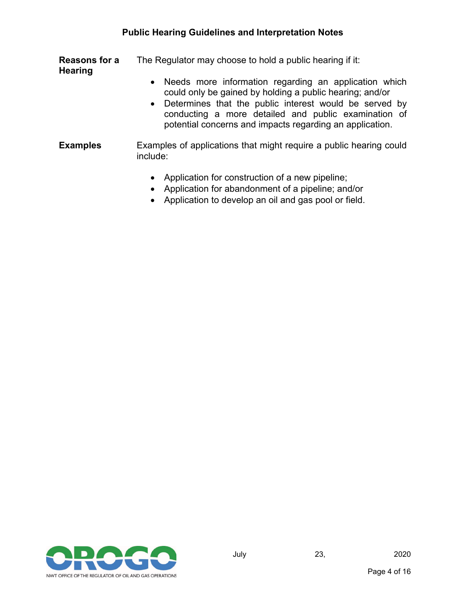**Reasons for a Hearing** The Regulator may choose to hold a public hearing if it:

- Needs more information regarding an application which could only be gained by holding a public hearing; and/or
- Determines that the public interest would be served by conducting a more detailed and public examination of potential concerns and impacts regarding an application.

#### **Examples** Examples of applications that might require a public hearing could include:

- Application for construction of a new pipeline;
- Application for abandonment of a pipeline; and/or
- Application to develop an oil and gas pool or field.

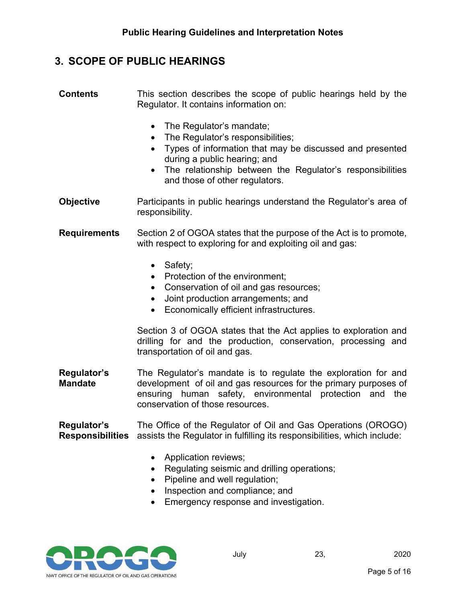#### <span id="page-6-0"></span>**3. SCOPE OF PUBLIC HEARINGS**

**Contents** This section describes the scope of public hearings held by the Regulator. It contains information on:

- The Regulator's mandate;
- The Regulator's responsibilities;
- Types of information that may be discussed and presented during a public hearing; and
- The relationship between the Regulator's responsibilities and those of other regulators.

**Objective** Participants in public hearings understand the Regulator's area of responsibility.

**Requirements** Section 2 of OGOA states that the purpose of the Act is to promote, with respect to exploring for and exploiting oil and gas:

- Safety;
- Protection of the environment;
- Conservation of oil and gas resources;
- Joint production arrangements; and
- Economically efficient infrastructures.

Section 3 of OGOA states that the Act applies to exploration and drilling for and the production, conservation, processing and transportation of oil and gas.

**Regulator's Mandate** The Regulator's mandate is to regulate the exploration for and development of oil and gas resources for the primary purposes of ensuring human safety, environmental protection and the conservation of those resources.

**Regulator's Responsibilities** assists the Regulator in fulfilling its responsibilities, which include: The Office of the Regulator of Oil and Gas Operations (OROGO)

- Application reviews;
- Regulating seismic and drilling operations;
- Pipeline and well regulation;
- Inspection and compliance; and
- Emergency response and investigation.

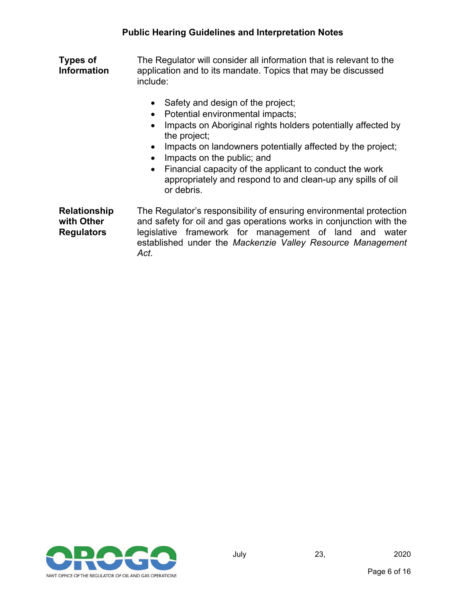**Types of Information** The Regulator will consider all information that is relevant to the application and to its mandate. Topics that may be discussed include:

- Safety and design of the project;
- Potential environmental impacts;
- Impacts on Aboriginal rights holders potentially affected by the project;
- Impacts on landowners potentially affected by the project;
- Impacts on the public; and
- Financial capacity of the applicant to conduct the work appropriately and respond to and clean-up any spills of oil or debris.

**Relationship with Other Regulators** The Regulator's responsibility of ensuring environmental protection and safety for oil and gas operations works in conjunction with the legislative framework for management of land and water established under the *Mackenzie Valley Resource Management Act*.

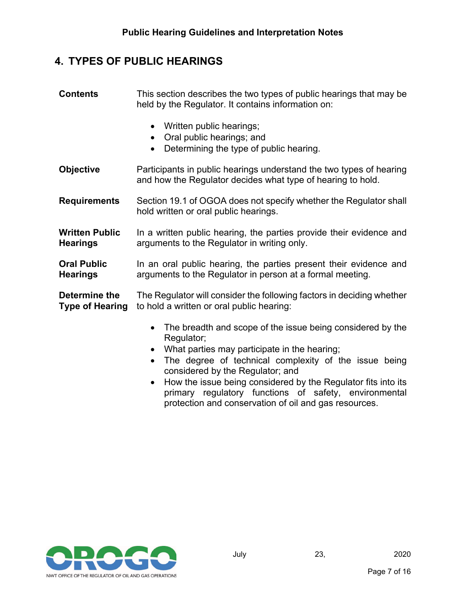#### <span id="page-8-0"></span>**4. TYPES OF PUBLIC HEARINGS**

| <b>Contents</b>                          | This section describes the two types of public hearings that may be<br>held by the Regulator. It contains information on:                                                               |
|------------------------------------------|-----------------------------------------------------------------------------------------------------------------------------------------------------------------------------------------|
|                                          | Written public hearings;<br>Oral public hearings; and<br>$\bullet$<br>Determining the type of public hearing.<br>$\bullet$                                                              |
| <b>Objective</b>                         | Participants in public hearings understand the two types of hearing<br>and how the Regulator decides what type of hearing to hold.                                                      |
| <b>Requirements</b>                      | Section 19.1 of OGOA does not specify whether the Regulator shall<br>hold written or oral public hearings.                                                                              |
| <b>Written Public</b><br><b>Hearings</b> | In a written public hearing, the parties provide their evidence and<br>arguments to the Regulator in writing only.                                                                      |
| <b>Oral Public</b><br><b>Hearings</b>    | In an oral public hearing, the parties present their evidence and<br>arguments to the Regulator in person at a formal meeting.                                                          |
| Determine the<br><b>Type of Hearing</b>  | The Regulator will consider the following factors in deciding whether<br>to hold a written or oral public hearing:                                                                      |
|                                          | The breadth and scope of the issue being considered by the<br>٠<br>Regulator;<br>What parties may participate in the hearing;<br>The demond of following constants of flow to see holis |

- The degree of technical complexity of the issue being considered by the Regulator; and
- How the issue being considered by the Regulator fits into its primary regulatory functions of safety, environmental protection and conservation of oil and gas resources.

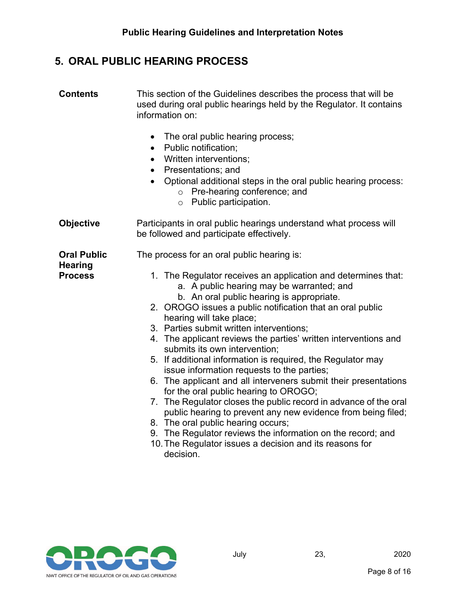#### <span id="page-9-0"></span>**5. ORAL PUBLIC HEARING PROCESS**

| <b>Contents</b>                                        | This section of the Guidelines describes the process that will be<br>used during oral public hearings held by the Regulator. It contains<br>information on:                                                                                                                                                                                                                                                                                                                                                                                                                                                                                                                                                                                                                                                                                                                                                                                                                              |
|--------------------------------------------------------|------------------------------------------------------------------------------------------------------------------------------------------------------------------------------------------------------------------------------------------------------------------------------------------------------------------------------------------------------------------------------------------------------------------------------------------------------------------------------------------------------------------------------------------------------------------------------------------------------------------------------------------------------------------------------------------------------------------------------------------------------------------------------------------------------------------------------------------------------------------------------------------------------------------------------------------------------------------------------------------|
|                                                        | The oral public hearing process;<br>$\bullet$<br>Public notification;<br>$\bullet$<br>Written interventions;<br>$\bullet$<br>Presentations; and<br>Optional additional steps in the oral public hearing process:<br>$\bullet$<br>o Pre-hearing conference; and<br>Public participation.<br>$\circ$                                                                                                                                                                                                                                                                                                                                                                                                                                                                                                                                                                                                                                                                                       |
| <b>Objective</b>                                       | Participants in oral public hearings understand what process will<br>be followed and participate effectively.                                                                                                                                                                                                                                                                                                                                                                                                                                                                                                                                                                                                                                                                                                                                                                                                                                                                            |
| <b>Oral Public</b><br><b>Hearing</b><br><b>Process</b> | The process for an oral public hearing is:<br>1. The Regulator receives an application and determines that:<br>a. A public hearing may be warranted; and<br>b. An oral public hearing is appropriate.<br>2. OROGO issues a public notification that an oral public<br>hearing will take place;<br>3. Parties submit written interventions;<br>4. The applicant reviews the parties' written interventions and<br>submits its own intervention;<br>5. If additional information is required, the Regulator may<br>issue information requests to the parties;<br>6. The applicant and all interveners submit their presentations<br>for the oral public hearing to OROGO;<br>7. The Regulator closes the public record in advance of the oral<br>public hearing to prevent any new evidence from being filed;<br>8. The oral public hearing occurs;<br>9. The Regulator reviews the information on the record; and<br>10. The Regulator issues a decision and its reasons for<br>decision. |

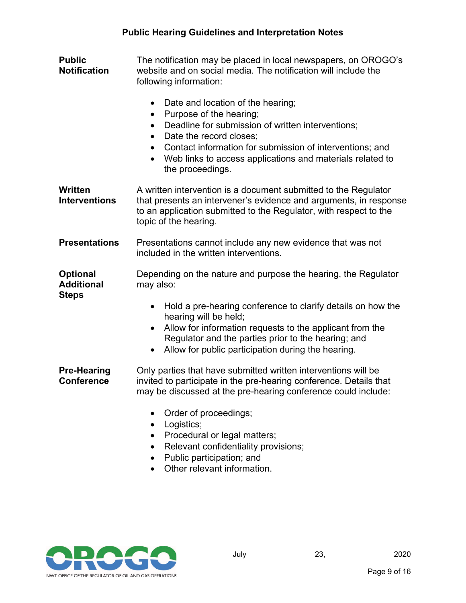| <b>Public</b><br><b>Notification</b>                 | The notification may be placed in local newspapers, on OROGO's<br>website and on social media. The notification will include the<br>following information:<br>Date and location of the hearing;<br>$\bullet$<br>Purpose of the hearing;<br>$\bullet$<br>Deadline for submission of written interventions;<br>$\bullet$<br>Date the record closes;<br>$\bullet$<br>Contact information for submission of interventions; and<br>$\bullet$<br>Web links to access applications and materials related to<br>$\bullet$<br>the proceedings. |
|------------------------------------------------------|---------------------------------------------------------------------------------------------------------------------------------------------------------------------------------------------------------------------------------------------------------------------------------------------------------------------------------------------------------------------------------------------------------------------------------------------------------------------------------------------------------------------------------------|
| Written<br><b>Interventions</b>                      | A written intervention is a document submitted to the Regulator<br>that presents an intervener's evidence and arguments, in response<br>to an application submitted to the Regulator, with respect to the<br>topic of the hearing.                                                                                                                                                                                                                                                                                                    |
| <b>Presentations</b>                                 | Presentations cannot include any new evidence that was not<br>included in the written interventions.                                                                                                                                                                                                                                                                                                                                                                                                                                  |
| <b>Optional</b><br><b>Additional</b><br><b>Steps</b> | Depending on the nature and purpose the hearing, the Regulator<br>may also:<br>Hold a pre-hearing conference to clarify details on how the<br>$\bullet$<br>hearing will be held;<br>Allow for information requests to the applicant from the<br>$\bullet$<br>Regulator and the parties prior to the hearing; and<br>Allow for public participation during the hearing.<br>$\bullet$                                                                                                                                                   |
| <b>Pre-Hearing</b><br><b>Conference</b>              | Only parties that have submitted written interventions will be<br>invited to participate in the pre-hearing conference. Details that<br>may be discussed at the pre-hearing conference could include:<br>Order of proceedings;                                                                                                                                                                                                                                                                                                        |

- Logistics;
- Procedural or legal matters;
- Relevant confidentiality provisions;
- Public participation; and
- Other relevant information.

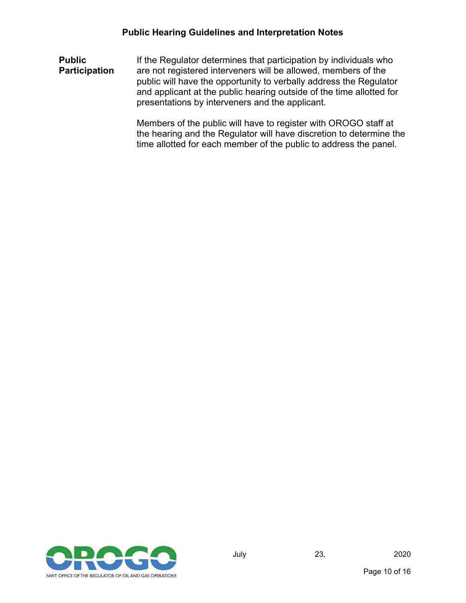**Public Participation** If the Regulator determines that participation by individuals who are not registered interveners will be allowed, members of the public will have the opportunity to verbally address the Regulator and applicant at the public hearing outside of the time allotted for presentations by interveners and the applicant.

> Members of the public will have to register with OROGO staff at the hearing and the Regulator will have discretion to determine the time allotted for each member of the public to address the panel.

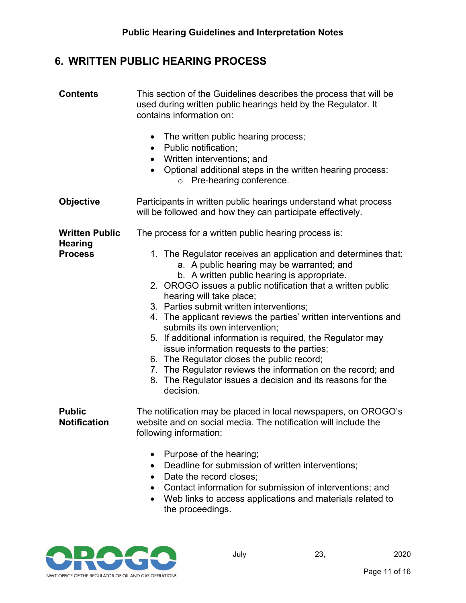### <span id="page-12-0"></span>**6. WRITTEN PUBLIC HEARING PROCESS**

| <b>Contents</b>                         | This section of the Guidelines describes the process that will be<br>used during written public hearings held by the Regulator. It<br>contains information on:                                                                                                                                                                                                                                                                                                                                                                                                                                                                                                                                            |
|-----------------------------------------|-----------------------------------------------------------------------------------------------------------------------------------------------------------------------------------------------------------------------------------------------------------------------------------------------------------------------------------------------------------------------------------------------------------------------------------------------------------------------------------------------------------------------------------------------------------------------------------------------------------------------------------------------------------------------------------------------------------|
|                                         | The written public hearing process;<br>$\bullet$<br>Public notification;<br>$\bullet$<br>Written interventions; and<br>$\bullet$<br>Optional additional steps in the written hearing process:<br>$\bullet$<br>Pre-hearing conference.<br>$\circ$                                                                                                                                                                                                                                                                                                                                                                                                                                                          |
| <b>Objective</b>                        | Participants in written public hearings understand what process<br>will be followed and how they can participate effectively.                                                                                                                                                                                                                                                                                                                                                                                                                                                                                                                                                                             |
| <b>Written Public</b><br><b>Hearing</b> | The process for a written public hearing process is:                                                                                                                                                                                                                                                                                                                                                                                                                                                                                                                                                                                                                                                      |
| <b>Process</b>                          | 1. The Regulator receives an application and determines that:<br>a. A public hearing may be warranted; and<br>b. A written public hearing is appropriate.<br>2. OROGO issues a public notification that a written public<br>hearing will take place;<br>3. Parties submit written interventions;<br>4. The applicant reviews the parties' written interventions and<br>submits its own intervention;<br>5. If additional information is required, the Regulator may<br>issue information requests to the parties;<br>6. The Regulator closes the public record;<br>7. The Regulator reviews the information on the record; and<br>8. The Regulator issues a decision and its reasons for the<br>decision. |
| <b>Public</b><br><b>Notification</b>    | The notification may be placed in local newspapers, on OROGO's<br>website and on social media. The notification will include the<br>following information:<br>Purpose of the hearing;<br>Deadline for submission of written interventions;                                                                                                                                                                                                                                                                                                                                                                                                                                                                |
|                                         | Date the record closes;<br>$\bullet$<br>Contact information for submission of interventions; and<br>Web links to access applications and materials related to                                                                                                                                                                                                                                                                                                                                                                                                                                                                                                                                             |

• Web links to access applications and materials related to the proceedings.

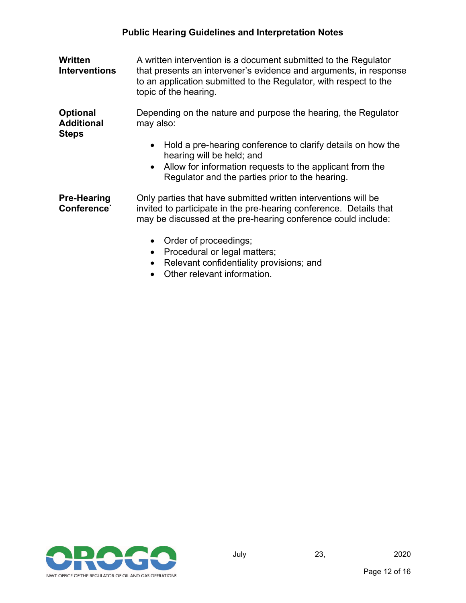| Written<br><b>Interventions</b>                      | A written intervention is a document submitted to the Regulator<br>that presents an intervener's evidence and arguments, in response<br>to an application submitted to the Regulator, with respect to the<br>topic of the hearing. |
|------------------------------------------------------|------------------------------------------------------------------------------------------------------------------------------------------------------------------------------------------------------------------------------------|
| <b>Optional</b><br><b>Additional</b><br><b>Steps</b> | Depending on the nature and purpose the hearing, the Regulator<br>may also:                                                                                                                                                        |
|                                                      | Hold a pre-hearing conference to clarify details on how the<br>$\bullet$<br>hearing will be held; and<br>Allow for information requests to the applicant from the<br>$\bullet$<br>Regulator and the parties prior to the hearing.  |
| <b>Pre-Hearing</b><br>Conference`                    | Only parties that have submitted written interventions will be<br>invited to participate in the pre-hearing conference. Details that<br>may be discussed at the pre-hearing conference could include:                              |
|                                                      | Order of proceedings;<br>$\bullet$<br>Procedural or legal matters;<br>$\bullet$<br>Relevant confidentiality provisions; and<br>$\bullet$                                                                                           |

• Other relevant information.

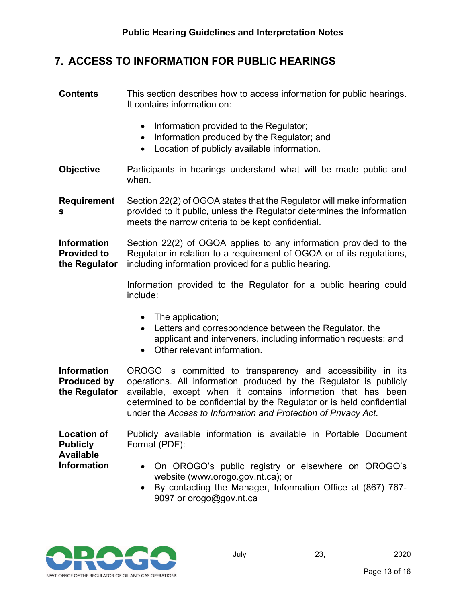#### <span id="page-14-0"></span>**7. ACCESS TO INFORMATION FOR PUBLIC HEARINGS**

- **Contents** This section describes how to access information for public hearings. It contains information on:
	- Information provided to the Regulator;
	- Information produced by the Regulator; and
	- Location of publicly available information.
- **Objective** Participants in hearings understand what will be made public and when.

**Requirement s** Section 22(2) of OGOA states that the Regulator will make information provided to it public, unless the Regulator determines the information meets the narrow criteria to be kept confidential.

**Information Provided to the Regulator** Section 22(2) of OGOA applies to any information provided to the Regulator in relation to a requirement of OGOA or of its regulations, including information provided for a public hearing.

> Information provided to the Regulator for a public hearing could include:

- The application;
- Letters and correspondence between the Regulator, the applicant and interveners, including information requests; and
- Other relevant information.

**Information Produced by the Regulator** OROGO is committed to transparency and accessibility in its operations. All information produced by the Regulator is publicly available, except when it contains information that has been determined to be confidential by the Regulator or is held confidential under the *Access to Information and Protection of Privacy Act*.

**Location of Publicly Available Information** Publicly available information is available in Portable Document Format (PDF):

- On OROGO's public registry or elsewhere on OROGO's website (www.orogo.gov.nt.ca); or
- By contacting the Manager, Information Office at (867) 767- 9097 or orogo@gov.nt.ca

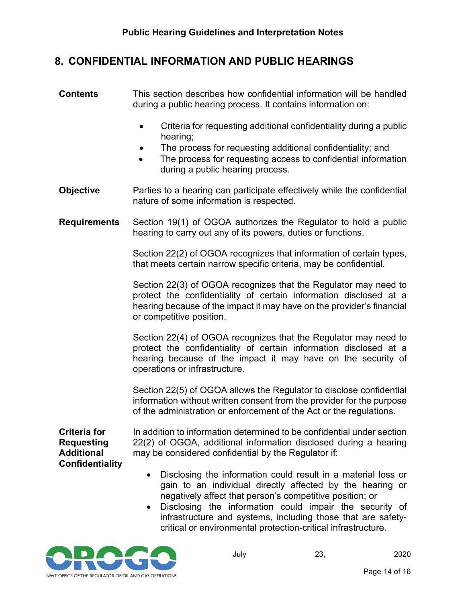#### <span id="page-15-0"></span>**8. CONFIDENTIAL INFORMATION AND PUBLIC HEARINGS**

**Contents** This section describes how confidential information will be handled during a public hearing process. It contains information on:

- Criteria for requesting additional confidentiality during a public hearing;
- The process for requesting additional confidentiality; and
- The process for requesting access to confidential information during a public hearing process.
- **Objective** Parties to a hearing can participate effectively while the confidential nature of some information is respected.
- **Requirements** Section 19(1) of OGOA authorizes the Regulator to hold a public hearing to carry out any of its powers, duties or functions.

Section 22(2) of OGOA recognizes that information of certain types, that meets certain narrow specific criteria, may be confidential.

Section 22(3) of OGOA recognizes that the Regulator may need to protect the confidentiality of certain information disclosed at a hearing because of the impact it may have on the provider's financial or competitive position.

Section 22(4) of OGOA recognizes that the Regulator may need to protect the confidentiality of certain information disclosed at a hearing because of the impact it may have on the security of operations or infrastructure.

Section 22(5) of OGOA allows the Regulator to disclose confidential information without written consent from the provider for the purpose of the administration or enforcement of the Act or the regulations.

**Criteria for Requesting Additional Confidentiality**

In addition to information determined to be confidential under section 22(2) of OGOA, additional information disclosed during a hearing may be considered confidential by the Regulator if:

- Disclosing the information could result in a material loss or gain to an individual directly affected by the hearing or negatively affect that person's competitive position; or
- Disclosing the information could impair the security of infrastructure and systems, including those that are safetycritical or environmental protection-critical infrastructure.

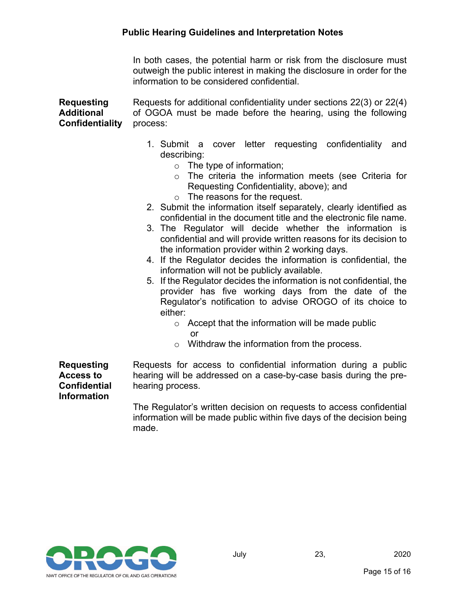In both cases, the potential harm or risk from the disclosure must outweigh the public interest in making the disclosure in order for the information to be considered confidential.

**Requesting Additional Confidentiality**  Requests for additional confidentiality under sections 22(3) or 22(4) of OGOA must be made before the hearing, using the following process:

- 1. Submit a cover letter requesting confidentiality and describing:
	- $\circ$  The type of information;
	- o The criteria the information meets (see Criteria for Requesting Confidentiality, above); and
	- o The reasons for the request.
- 2. Submit the information itself separately, clearly identified as confidential in the document title and the electronic file name.
- 3. The Regulator will decide whether the information is confidential and will provide written reasons for its decision to the information provider within 2 working days.
- 4. If the Regulator decides the information is confidential, the information will not be publicly available.
- 5. If the Regulator decides the information is not confidential, the provider has five working days from the date of the Regulator's notification to advise OROGO of its choice to either:
	- $\circ$  Accept that the information will be made public or
	- o Withdraw the information from the process.

**Requesting Access to Confidential Information**

Requests for access to confidential information during a public hearing will be addressed on a case-by-case basis during the prehearing process.

The Regulator's written decision on requests to access confidential information will be made public within five days of the decision being made.